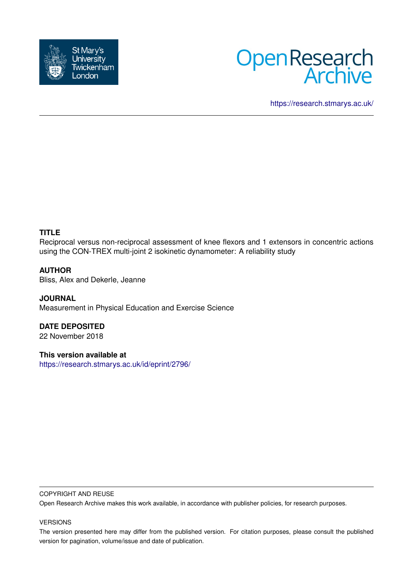



<https://research.stmarys.ac.uk/>

# **TITLE**

Reciprocal versus non-reciprocal assessment of knee flexors and 1 extensors in concentric actions using the CON-TREX multi-joint 2 isokinetic dynamometer: A reliability study

# **AUTHOR**

Bliss, Alex and Dekerle, Jeanne

**JOURNAL** Measurement in Physical Education and Exercise Science

**DATE DEPOSITED** 22 November 2018

**This version available at** <https://research.stmarys.ac.uk/id/eprint/2796/>

### COPYRIGHT AND REUSE

Open Research Archive makes this work available, in accordance with publisher policies, for research purposes.

#### VERSIONS

The version presented here may differ from the published version. For citation purposes, please consult the published version for pagination, volume/issue and date of publication.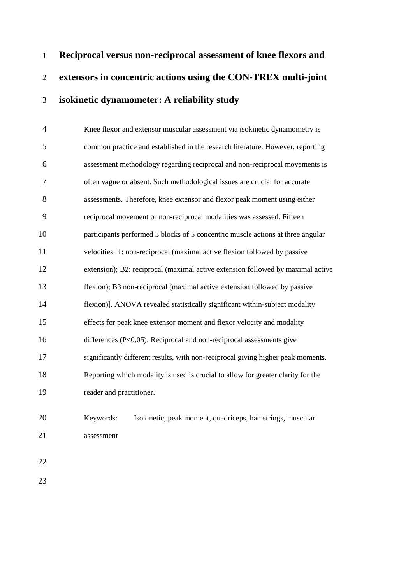**Reciprocal versus non-reciprocal assessment of knee flexors and extensors in concentric actions using the CON-TREX multi-joint isokinetic dynamometer: A reliability study**

 Knee flexor and extensor muscular assessment via isokinetic dynamometry is common practice and established in the research literature. However, reporting assessment methodology regarding reciprocal and non-reciprocal movements is often vague or absent. Such methodological issues are crucial for accurate assessments. Therefore, knee extensor and flexor peak moment using either reciprocal movement or non-reciprocal modalities was assessed. Fifteen participants performed 3 blocks of 5 concentric muscle actions at three angular velocities [1: non-reciprocal (maximal active flexion followed by passive extension); B2: reciprocal (maximal active extension followed by maximal active flexion); B3 non-reciprocal (maximal active extension followed by passive flexion)]. ANOVA revealed statistically significant within-subject modality effects for peak knee extensor moment and flexor velocity and modality differences (P<0.05). Reciprocal and non-reciprocal assessments give significantly different results, with non-reciprocal giving higher peak moments. Reporting which modality is used is crucial to allow for greater clarity for the reader and practitioner.

# Keywords: Isokinetic, peak moment, quadriceps, hamstrings, muscular assessment

- 
-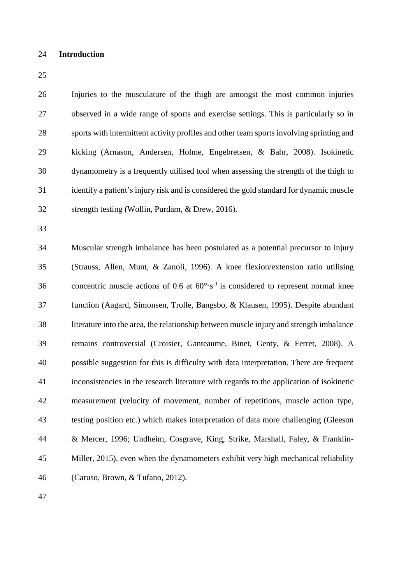## **Introduction**

 Injuries to the musculature of the thigh are amongst the most common injuries observed in a wide range of sports and exercise settings. This is particularly so in sports with intermittent activity profiles and other team sports involving sprinting and kicking (Arnason, Andersen, Holme, Engebretsen, & Bahr, 2008). Isokinetic dynamometry is a frequently utilised tool when assessing the strength of the thigh to identify a patient's injury risk and is considered the gold standard for dynamic muscle strength testing (Wollin, Purdam, & Drew, 2016).

 Muscular strength imbalance has been postulated as a potential precursor to injury (Strauss, Allen, Munt, & Zanoli, 1996). A knee flexion/extension ratio utilising 36 concentric muscle actions of 0.6 at  $60^{\circ} \cdot s^{-1}$  is considered to represent normal knee function (Aagard, Simonsen, Trolle, Bangsbo, & Klausen, 1995). Despite abundant literature into the area, the relationship between muscle injury and strength imbalance remains controversial (Croisier, Ganteaume, Binet, Genty, & Ferret, 2008). A possible suggestion for this is difficulty with data interpretation. There are frequent inconsistencies in the research literature with regards to the application of isokinetic measurement (velocity of movement, number of repetitions, muscle action type, testing position etc.) which makes interpretation of data more challenging (Gleeson & Mercer, 1996; Undheim, Cosgrave, King, Strike, Marshall, Faley, & Franklin- Miller, 2015), even when the dynamometers exhibit very high mechanical reliability (Caruso, Brown, & Tufano, 2012).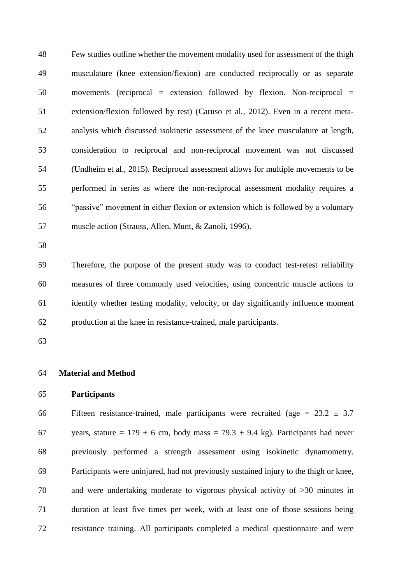Few studies outline whether the movement modality used for assessment of the thigh musculature (knee extension/flexion) are conducted reciprocally or as separate movements (reciprocal = extension followed by flexion. Non-reciprocal = extension/flexion followed by rest) (Caruso et al*.,* 2012). Even in a recent meta- analysis which discussed isokinetic assessment of the knee musculature at length, consideration to reciprocal and non-reciprocal movement was not discussed (Undheim et al., 2015). Reciprocal assessment allows for multiple movements to be performed in series as where the non-reciprocal assessment modality requires a "passive" movement in either flexion or extension which is followed by a voluntary muscle action (Strauss, Allen, Munt, & Zanoli, 1996).

 Therefore, the purpose of the present study was to conduct test-retest reliability measures of three commonly used velocities, using concentric muscle actions to identify whether testing modality, velocity, or day significantly influence moment production at the knee in resistance-trained, male participants.

# **Material and Method**

# **Participants**

66 Fifteen resistance-trained, male participants were recruited (age =  $23.2 \pm 3.7$ 67 years, stature =  $179 \pm 6$  cm, body mass =  $79.3 \pm 9.4$  kg). Participants had never previously performed a strength assessment using isokinetic dynamometry. Participants were uninjured, had not previously sustained injury to the thigh or knee, and were undertaking moderate to vigorous physical activity of >30 minutes in duration at least five times per week, with at least one of those sessions being resistance training. All participants completed a medical questionnaire and were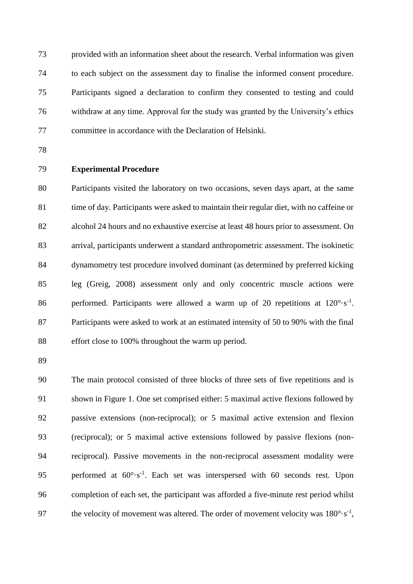provided with an information sheet about the research. Verbal information was given to each subject on the assessment day to finalise the informed consent procedure. Participants signed a declaration to confirm they consented to testing and could withdraw at any time. Approval for the study was granted by the University's ethics committee in accordance with the Declaration of Helsinki.

# **Experimental Procedure**

 Participants visited the laboratory on two occasions, seven days apart, at the same 81 time of day. Participants were asked to maintain their regular diet, with no caffeine or alcohol 24 hours and no exhaustive exercise at least 48 hours prior to assessment. On arrival, participants underwent a standard anthropometric assessment. The isokinetic dynamometry test procedure involved dominant (as determined by preferred kicking leg (Greig, 2008) assessment only and only concentric muscle actions were 86 performed. Participants were allowed a warm up of 20 repetitions at  $120^{\circ} \cdot s^{-1}$ . Participants were asked to work at an estimated intensity of 50 to 90% with the final 88 effort close to 100% throughout the warm up period.

 The main protocol consisted of three blocks of three sets of five repetitions and is shown in Figure 1. One set comprised either: 5 maximal active flexions followed by passive extensions (non-reciprocal); or 5 maximal active extension and flexion (reciprocal); or 5 maximal active extensions followed by passive flexions (non- reciprocal). Passive movements in the non-reciprocal assessment modality were 95 performed at  $60^{\circ} \cdot s^{-1}$ . Each set was interspersed with 60 seconds rest. Upon completion of each set, the participant was afforded a five-minute rest period whilst 97 the velocity of movement was altered. The order of movement velocity was  $180^{\circ} \cdot s^{-1}$ ,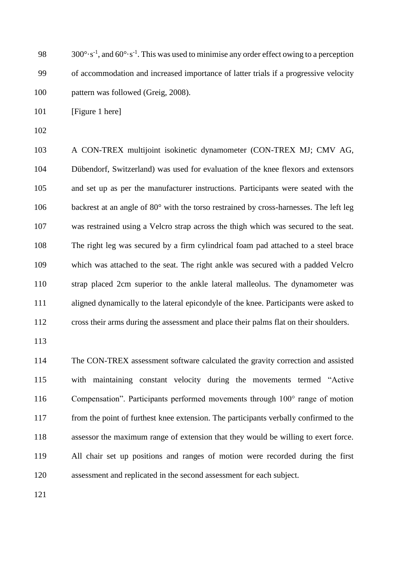98 300°·s<sup>-1</sup>, and  $60^{\circ} \cdot s^{-1}$ . This was used to minimise any order effect owing to a perception of accommodation and increased importance of latter trials if a progressive velocity pattern was followed (Greig, 2008).

101 [Figure 1 here]

 A CON-TREX multijoint isokinetic dynamometer (CON-TREX MJ; CMV AG, Dübendorf, Switzerland) was used for evaluation of the knee flexors and extensors and set up as per the manufacturer instructions. Participants were seated with the 106 backrest at an angle of 80° with the torso restrained by cross-harnesses. The left leg was restrained using a Velcro strap across the thigh which was secured to the seat. The right leg was secured by a firm cylindrical foam pad attached to a steel brace which was attached to the seat. The right ankle was secured with a padded Velcro strap placed 2cm superior to the ankle lateral malleolus. The dynamometer was aligned dynamically to the lateral epicondyle of the knee. Participants were asked to cross their arms during the assessment and place their palms flat on their shoulders.

 The CON-TREX assessment software calculated the gravity correction and assisted with maintaining constant velocity during the movements termed "Active Compensation". Participants performed movements through 100° range of motion from the point of furthest knee extension. The participants verbally confirmed to the assessor the maximum range of extension that they would be willing to exert force. All chair set up positions and ranges of motion were recorded during the first assessment and replicated in the second assessment for each subject.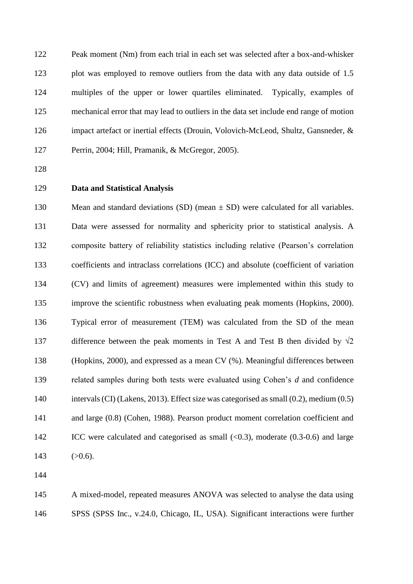Peak moment (Nm) from each trial in each set was selected after a box-and-whisker plot was employed to remove outliers from the data with any data outside of 1.5 multiples of the upper or lower quartiles eliminated. Typically, examples of mechanical error that may lead to outliers in the data set include end range of motion impact artefact or inertial effects (Drouin, Volovich-McLeod, Shultz, Gansneder, & Perrin, 2004; Hill, Pramanik, & McGregor, 2005).

## **Data and Statistical Analysis**

130 Mean and standard deviations (SD) (mean  $\pm$  SD) were calculated for all variables. Data were assessed for normality and sphericity prior to statistical analysis. A composite battery of reliability statistics including relative (Pearson's correlation coefficients and intraclass correlations (ICC) and absolute (coefficient of variation (CV) and limits of agreement) measures were implemented within this study to improve the scientific robustness when evaluating peak moments (Hopkins, 2000). Typical error of measurement (TEM) was calculated from the SD of the mean 137 difference between the peak moments in Test A and Test B then divided by  $\sqrt{2}$  (Hopkins, 2000), and expressed as a mean CV (%). Meaningful differences between related samples during both tests were evaluated using Cohen's *d* and confidence intervals (CI) (Lakens, 2013). Effect size was categorised as small (0.2), medium (0.5) and large (0.8) (Cohen, 1988). Pearson product moment correlation coefficient and 142 ICC were calculated and categorised as small (<0.3), moderate (0.3-0.6) and large 143  $(>0.6)$ .

 A mixed-model, repeated measures ANOVA was selected to analyse the data using SPSS (SPSS Inc., v.24.0, Chicago, IL, USA). Significant interactions were further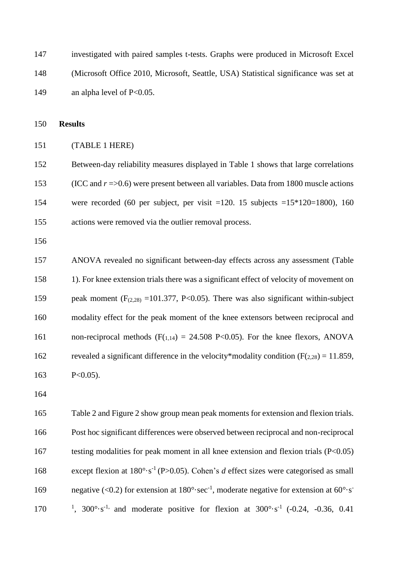investigated with paired samples t-tests. Graphs were produced in Microsoft Excel (Microsoft Office 2010, Microsoft, Seattle, USA) Statistical significance was set at 149 an alpha level of P<0.05.

**Results**

## (TABLE 1 HERE)

 Between-day reliability measures displayed in Table 1 shows that large correlations (ICC and *r* =>0.6) were present between all variables. Data from 1800 muscle actions were recorded (60 per subject, per visit =120. 15 subjects =15\*120=1800), 160 actions were removed via the outlier removal process.

 ANOVA revealed no significant between-day effects across any assessment (Table 1). For knee extension trials there was a significant effect of velocity of movement on 159 peak moment  $(F_{(2,28)} = 101.377, P<0.05)$ . There was also significant within-subject modality effect for the peak moment of the knee extensors between reciprocal and 161 non-reciprocal methods  $(F(1,14) = 24.508 \text{ P} < 0.05)$ . For the knee flexors, ANOVA 162 revealed a significant difference in the velocity\*modality condition ( $F(2,28) = 11.859$ , P<0.05).

 Table 2 and Figure 2 show group mean peak moments for extension and flexion trials. Post hoc significant differences were observed between reciprocal and non-reciprocal testing modalities for peak moment in all knee extension and flexion trials (P<0.05) 168 except flexion at 180°·s<sup>-1</sup> (P>0.05). Cohen's *d* effect sizes were categorised as small negative (<0.2) for extension at  $180^{\circ} \text{·sec}^{-1}$ , moderate negative for extension at  $60^{\circ} \text{·s}^{-1}$  170 <sup>1</sup>, 300°·s<sup>-1,</sup> and moderate positive for flexion at  $300^{\circ} \cdot s^{-1}$  (-0.24, -0.36, 0.41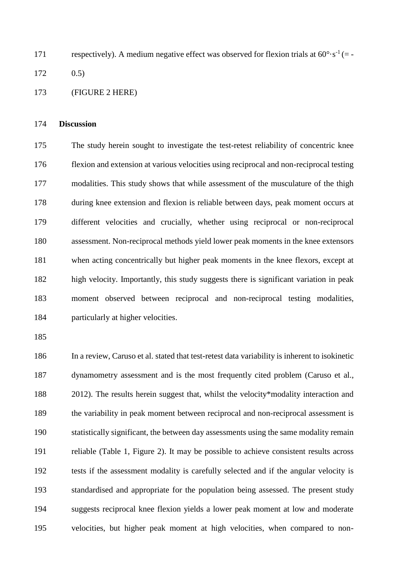171 respectively). A medium negative effect was observed for flexion trials at  $60^{\circ} \cdot s^{-1}$  (= -

0.5)

(FIGURE 2 HERE)

### **Discussion**

 The study herein sought to investigate the test-retest reliability of concentric knee flexion and extension at various velocities using reciprocal and non-reciprocal testing modalities. This study shows that while assessment of the musculature of the thigh during knee extension and flexion is reliable between days, peak moment occurs at different velocities and crucially, whether using reciprocal or non-reciprocal assessment. Non-reciprocal methods yield lower peak moments in the knee extensors when acting concentrically but higher peak moments in the knee flexors, except at high velocity. Importantly, this study suggests there is significant variation in peak moment observed between reciprocal and non-reciprocal testing modalities, particularly at higher velocities.

 In a review, Caruso et al. stated that test-retest data variability is inherent to isokinetic dynamometry assessment and is the most frequently cited problem (Caruso et al., 2012). The results herein suggest that, whilst the velocity\*modality interaction and the variability in peak moment between reciprocal and non-reciprocal assessment is statistically significant, the between day assessments using the same modality remain reliable (Table 1, Figure 2). It may be possible to achieve consistent results across tests if the assessment modality is carefully selected and if the angular velocity is standardised and appropriate for the population being assessed. The present study suggests reciprocal knee flexion yields a lower peak moment at low and moderate velocities, but higher peak moment at high velocities, when compared to non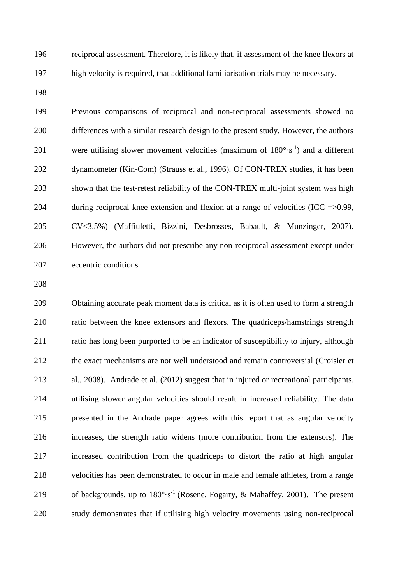reciprocal assessment. Therefore, it is likely that, if assessment of the knee flexors at high velocity is required, that additional familiarisation trials may be necessary.

 Previous comparisons of reciprocal and non-reciprocal assessments showed no differences with a similar research design to the present study. However, the authors 201 were utilising slower movement velocities (maximum of  $180^\circ \cdot s^{-1}$ ) and a different dynamometer (Kin-Com) (Strauss et al., 1996). Of CON-TREX studies, it has been shown that the test-retest reliability of the CON-TREX multi-joint system was high during reciprocal knee extension and flexion at a range of velocities (ICC =>0.99, CV<3.5%) (Maffiuletti, Bizzini, Desbrosses, Babault, & Munzinger, 2007). However, the authors did not prescribe any non-reciprocal assessment except under eccentric conditions.

 Obtaining accurate peak moment data is critical as it is often used to form a strength ratio between the knee extensors and flexors. The quadriceps/hamstrings strength ratio has long been purported to be an indicator of susceptibility to injury, although the exact mechanisms are not well understood and remain controversial (Croisier et al., 2008). Andrade et al. (2012) suggest that in injured or recreational participants, utilising slower angular velocities should result in increased reliability. The data presented in the Andrade paper agrees with this report that as angular velocity increases, the strength ratio widens (more contribution from the extensors). The increased contribution from the quadriceps to distort the ratio at high angular velocities has been demonstrated to occur in male and female athletes, from a range 219 of backgrounds, up to  $180^{\circ} \cdot s^{-1}$  (Rosene, Fogarty, & Mahaffey, 2001). The present study demonstrates that if utilising high velocity movements using non-reciprocal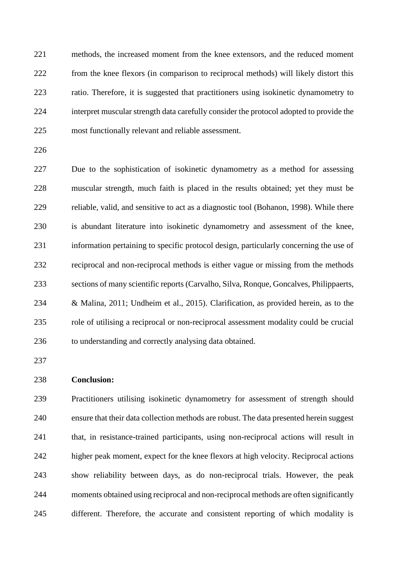methods, the increased moment from the knee extensors, and the reduced moment from the knee flexors (in comparison to reciprocal methods) will likely distort this ratio. Therefore, it is suggested that practitioners using isokinetic dynamometry to interpret muscular strength data carefully consider the protocol adopted to provide the most functionally relevant and reliable assessment.

 Due to the sophistication of isokinetic dynamometry as a method for assessing muscular strength, much faith is placed in the results obtained; yet they must be reliable, valid, and sensitive to act as a diagnostic tool (Bohanon, 1998). While there is abundant literature into isokinetic dynamometry and assessment of the knee, information pertaining to specific protocol design, particularly concerning the use of reciprocal and non-reciprocal methods is either vague or missing from the methods sections of many scientific reports (Carvalho, Silva, Ronque, Goncalves, Philippaerts, & Malina, 2011; Undheim et al., 2015). Clarification, as provided herein, as to the role of utilising a reciprocal or non-reciprocal assessment modality could be crucial to understanding and correctly analysing data obtained.

# **Conclusion:**

 Practitioners utilising isokinetic dynamometry for assessment of strength should ensure that their data collection methods are robust. The data presented herein suggest that, in resistance-trained participants, using non-reciprocal actions will result in higher peak moment, expect for the knee flexors at high velocity. Reciprocal actions show reliability between days, as do non-reciprocal trials. However, the peak moments obtained using reciprocal and non-reciprocal methods are often significantly different. Therefore, the accurate and consistent reporting of which modality is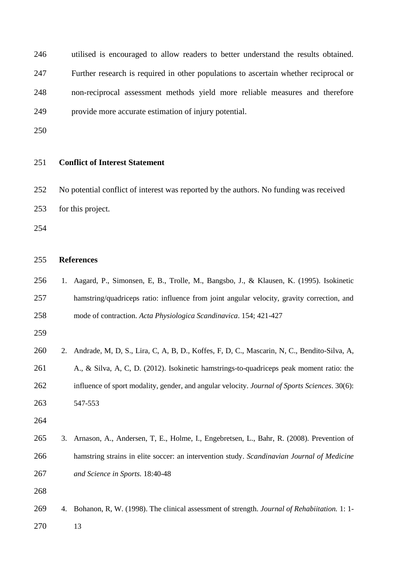utilised is encouraged to allow readers to better understand the results obtained. Further research is required in other populations to ascertain whether reciprocal or non-reciprocal assessment methods yield more reliable measures and therefore provide more accurate estimation of injury potential.

## **Conflict of Interest Statement**

 No potential conflict of interest was reported by the authors. No funding was received for this project.

## **References**

 1. Aagard, P., Simonsen, E, B., Trolle, M., Bangsbo, J., & Klausen, K. (1995). Isokinetic hamstring/quadriceps ratio: influence from joint angular velocity, gravity correction, and mode of contraction. *Acta Physiologica Scandinavica*. 154; 421-427

| 260 | 2. Andrade, M, D, S., Lira, C, A, B, D., Koffes, F, D, C., Mascarin, N, C., Bendito-Silva, A, |
|-----|-----------------------------------------------------------------------------------------------|
| 261 | A., & Silva, A. C. D. (2012). Isokinetic hamstrings-to-quadriceps peak moment ratio: the      |
| 262 | influence of sport modality, gender, and angular velocity. Journal of Sports Sciences. 30(6): |
| 263 | 547-553                                                                                       |

- 
- 3. Arnason, A., Andersen, T, E., Holme, I., Engebretsen, L., Bahr, R. (2008). Prevention of hamstring strains in elite soccer: an intervention study. *Scandinavian Journal of Medicine and Science in Sports.* 18:40-48

4. Bohanon, R, W. (1998). The clinical assessment of strength. *Journal of Rehabiitation.* 1: 1-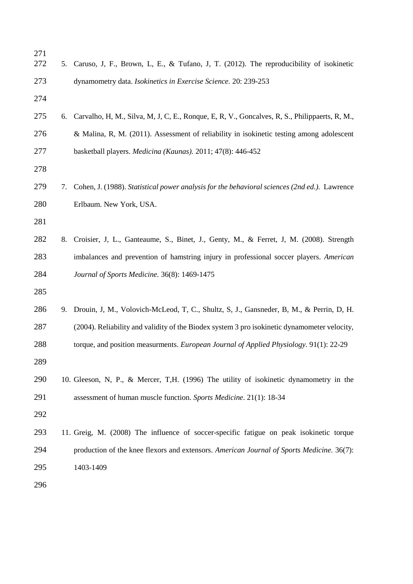| 271<br>272 |    | 5. Caruso, J, F., Brown, L, E., & Tufano, J, T. (2012). The reproducibility of isokinetic        |
|------------|----|--------------------------------------------------------------------------------------------------|
| 273        |    | dynamometry data. Isokinetics in Exercise Science. 20: 239-253                                   |
| 274        |    |                                                                                                  |
| 275        |    | 6. Carvalho, H, M., Silva, M, J, C, E., Ronque, E, R, V., Goncalves, R, S., Philippaerts, R, M., |
| 276        |    | & Malina, R, M. (2011). Assessment of reliability in isokinetic testing among adolescent         |
| 277        |    | basketball players. Medicina (Kaunas). 2011; 47(8): 446-452                                      |
| 278        |    |                                                                                                  |
| 279        | 7. | Cohen, J. (1988). Statistical power analysis for the behavioral sciences (2nd ed.). Lawrence     |
| 280        |    | Erlbaum. New York, USA.                                                                          |
| 281        |    |                                                                                                  |
| 282        | 8. | Croisier, J, L., Ganteaume, S., Binet, J., Genty, M., & Ferret, J, M. (2008). Strength           |
| 283        |    | imbalances and prevention of hamstring injury in professional soccer players. American           |
| 284        |    | Journal of Sports Medicine. 36(8): 1469-1475                                                     |
| 285        |    |                                                                                                  |
| 286        | 9. | Drouin, J, M., Volovich-McLeod, T, C., Shultz, S, J., Gansneder, B, M., & Perrin, D, H.          |
| 287        |    | (2004). Reliability and validity of the Biodex system 3 pro isokinetic dynamometer velocity,     |
| 288        |    | torque, and position measurments. <i>European Journal of Applied Physiology</i> . 91(1): 22-29   |
| 289        |    |                                                                                                  |
| 290        |    | 10. Gleeson, N, P., & Mercer, T,H. (1996) The utility of isokinetic dynamometry in the           |
| 291        |    | assessment of human muscle function. Sports Medicine. 21(1): 18-34                               |
| 292        |    |                                                                                                  |
| 293        |    | 11. Greig, M. (2008) The influence of soccer-specific fatigue on peak isokinetic torque          |
| 294        |    | production of the knee flexors and extensors. American Journal of Sports Medicine. 36(7):        |
| 295        |    | 1403-1409                                                                                        |
| 296        |    |                                                                                                  |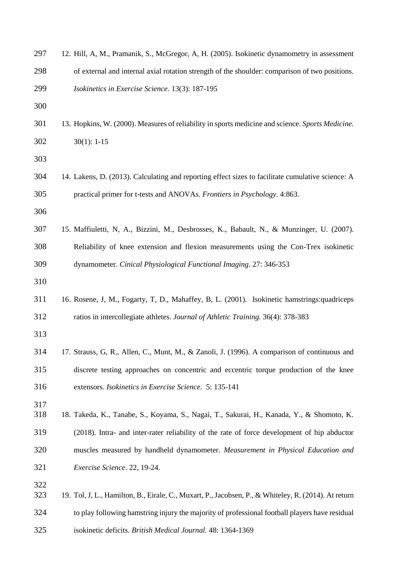| 297        | 12. Hill, A, M., Pramanik, S., McGregor, A, H. (2005). Isokinetic dynamometry in assessment          |
|------------|------------------------------------------------------------------------------------------------------|
| 298        | of external and internal axial rotation strength of the shoulder: comparison of two positions.       |
| 299        | Isokinetics in Exercise Science. 13(3): 187-195                                                      |
| 300        |                                                                                                      |
| 301        | 13. Hopkins, W. (2000). Measures of reliability in sports medicine and science. Sports Medicine.     |
| 302        | $30(1): 1-15$                                                                                        |
| 303        |                                                                                                      |
| 304        | 14. Lakens, D. (2013). Calculating and reporting effect sizes to facilitate cumulative science: A    |
| 305        | practical primer for t-tests and ANOVAs. Frontiers in Psychology. 4:863.                             |
| 306        |                                                                                                      |
| 307        | 15. Maffiuletti, N, A., Bizzini, M., Desbrosses, K., Babault, N., & Munzinger, U. (2007).            |
| 308        | Reliability of knee extension and flexion measurements using the Con-Trex isokinetic                 |
| 309        | dynamometer. Cinical Physiological Functional Imaging. 27: 346-353                                   |
| 310        |                                                                                                      |
| 311        | 16. Rosene, J, M., Fogarty, T, D., Mahaffey, B, L. (2001). Isokinetic hamstrings: quadriceps         |
| 312        | ratios in intercollegiate athletes. Journal of Athletic Training. 36(4): 378-383                     |
| 313        |                                                                                                      |
| 314        | 17. Strauss, G, R., Allen, C., Munt, M., & Zanoli, J. (1996). A comparison of continuous and         |
| 315        | discrete testing approaches on concentric and eccentric torque production of the knee                |
| 316        | extensors. Isokinetics in Exercise Science. 5: 135-141                                               |
| 317        |                                                                                                      |
| 318        | 18. Takeda, K., Tanabe, S., Koyama, S., Nagai, T., Sakurai, H., Kanada, Y., & Shomoto, K.            |
| 319        | (2018). Intra- and inter-rater reliability of the rate of force development of hip abductor          |
| 320        | muscles measured by handheld dynamometer. Measurement in Physical Education and                      |
| 321        | Exercise Science. 22, 19-24.                                                                         |
| 322<br>323 | 19. Tol, J, L., Hamilton, B., Eirale, C., Muxart, P., Jacobsen, P., & Whiteley, R. (2014). At return |
| 324        | to play following hamstring injury the majority of professional football players have residual       |
| 325        | isokinetic deficits. British Medical Journal. 48: 1364-1369                                          |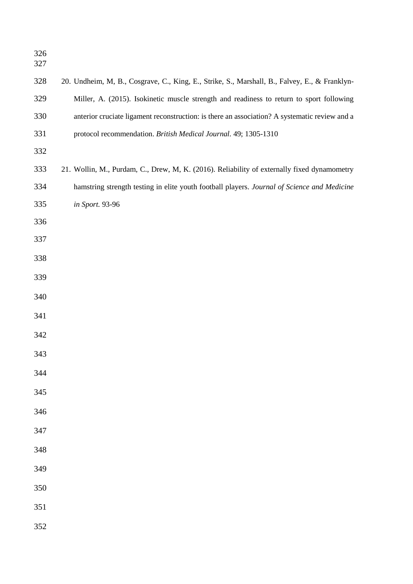| 328 | 20. Undheim, M, B., Cosgrave, C., King, E., Strike, S., Marshall, B., Falvey, E., & Franklyn- |
|-----|-----------------------------------------------------------------------------------------------|
| 329 | Miller, A. (2015). Isokinetic muscle strength and readiness to return to sport following      |
| 330 | anterior cruciate ligament reconstruction: is there an association? A systematic review and a |
| 331 | protocol recommendation. British Medical Journal. 49; 1305-1310                               |
| 332 |                                                                                               |
| 333 | 21. Wollin, M., Purdam, C., Drew, M, K. (2016). Reliability of externally fixed dynamometry   |
| 334 | hamstring strength testing in elite youth football players. Journal of Science and Medicine   |
| 335 | in Sport. 93-96                                                                               |
| 336 |                                                                                               |
| 337 |                                                                                               |
| 338 |                                                                                               |
| 339 |                                                                                               |
| 340 |                                                                                               |
| 341 |                                                                                               |
| 342 |                                                                                               |
| 343 |                                                                                               |
| 344 |                                                                                               |
| 345 |                                                                                               |
| 346 |                                                                                               |
| 347 |                                                                                               |
|     |                                                                                               |
| 348 |                                                                                               |
| 349 |                                                                                               |
| 350 |                                                                                               |
| 351 |                                                                                               |
| 352 |                                                                                               |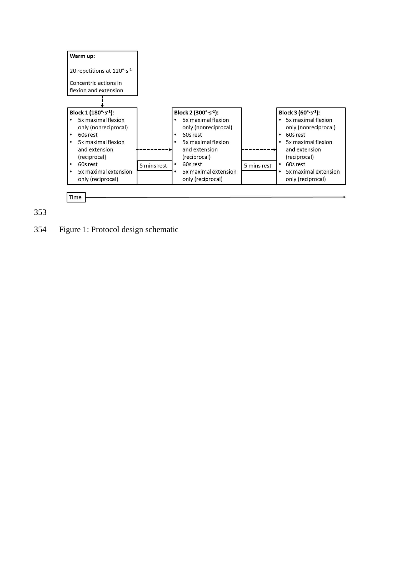



Figure 1: Protocol design schematic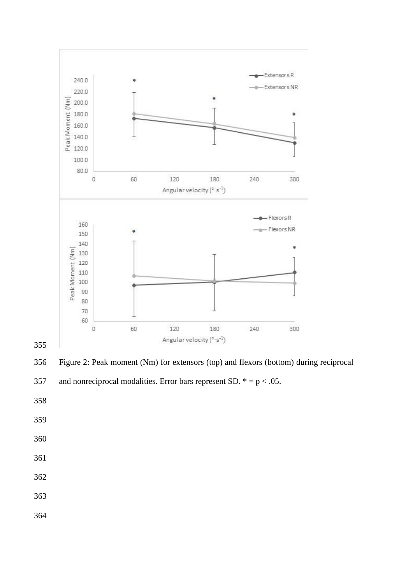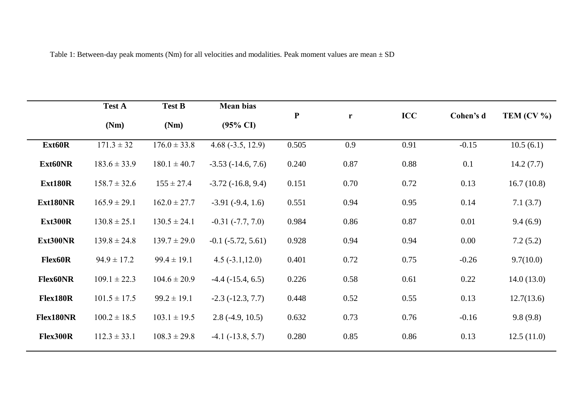Table 1: Between-day peak moments (Nm) for all velocities and modalities. Peak moment values are mean  $\pm$  SD

|                 | <b>Test A</b>    | <b>Test B</b>    | <b>Mean bias</b>        |              |      |            |           |               |
|-----------------|------------------|------------------|-------------------------|--------------|------|------------|-----------|---------------|
|                 | (Nm)             | (Nm)             | $(95\% \text{ CI})$     | $\mathbf{P}$ | r    | <b>ICC</b> | Cohen's d | TEM $(CV\% )$ |
| Ext60R          | $171.3 \pm 32$   | $176.0 \pm 33.8$ | $4.68(-3.5, 12.9)$      | 0.505        | 0.9  | 0.91       | $-0.15$   | 10.5(6.1)     |
| Ext60NR         | $183.6 \pm 33.9$ | $180.1 \pm 40.7$ | $-3.53(-14.6, 7.6)$     | 0.240        | 0.87 | 0.88       | 0.1       | 14.2(7.7)     |
| Ext180R         | $158.7 \pm 32.6$ | $155 \pm 27.4$   | $-3.72$ $(-16.8, 9.4)$  | 0.151        | 0.70 | 0.72       | 0.13      | 16.7(10.8)    |
| Ext180NR        | $165.9 \pm 29.1$ | $162.0 \pm 27.7$ | $-3.91(-9.4, 1.6)$      | 0.551        | 0.94 | 0.95       | 0.14      | 7.1(3.7)      |
| Ext300R         | $130.8 \pm 25.1$ | $130.5 \pm 24.1$ | $-0.31(-7.7, 7.0)$      | 0.984        | 0.86 | 0.87       | 0.01      | 9.4(6.9)      |
| Ext300NR        | $139.8 \pm 24.8$ | $139.7 \pm 29.0$ | $-0.1$ $(-5.72, 5.61)$  | 0.928        | 0.94 | 0.94       | 0.00      | 7.2(5.2)      |
| <b>Flex60R</b>  | $94.9 \pm 17.2$  | $99.4 \pm 19.1$  | $4.5(-3.1, 12.0)$       | 0.401        | 0.72 | 0.75       | $-0.26$   | 9.7(10.0)     |
| <b>Flex60NR</b> | $109.1 \pm 22.3$ | $104.6 \pm 20.9$ | $-4.4$ ( $-15.4$ , 6.5) | 0.226        | 0.58 | 0.61       | 0.22      | 14.0(13.0)    |
| Flex180R        | $101.5 \pm 17.5$ | $99.2 \pm 19.1$  | $-2.3$ $(-12.3, 7.7)$   | 0.448        | 0.52 | 0.55       | 0.13      | 12.7(13.6)    |
| Flex180NR       | $100.2 \pm 18.5$ | $103.1 \pm 19.5$ | $2.8(-4.9, 10.5)$       | 0.632        | 0.73 | 0.76       | $-0.16$   | 9.8(9.8)      |
| Flex300R        | $112.3 \pm 33.1$ | $108.3 \pm 29.8$ | $-4.1$ ( $-13.8, 5.7$ ) | 0.280        | 0.85 | 0.86       | 0.13      | 12.5(11.0)    |
|                 |                  |                  |                         |              |      |            |           |               |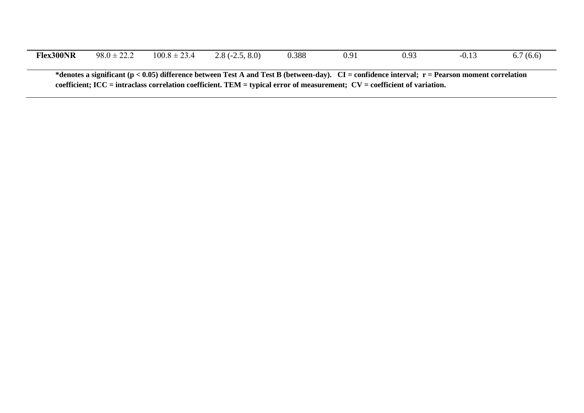| <b>Flex300NR</b>                                                                                                                                                                                                                                                                       | $98.0 \pm 22.2$ | $100.8 \pm 23.4$ | $2.8(-2.5, 8.0)$ | 0.388 | 0.91 | 0.93 | $-0.13$ | 6.7(6.6) |  |  |
|----------------------------------------------------------------------------------------------------------------------------------------------------------------------------------------------------------------------------------------------------------------------------------------|-----------------|------------------|------------------|-------|------|------|---------|----------|--|--|
| *denotes a significant ( $p < 0.05$ ) difference between Test A and Test B (between-day). CI = confidence interval; $r =$ Pearson moment correlation<br>coefficient; $ICC = intraclass correlation coefficient$ . TEM = typical error of measurement; $CV = coefficient$ of variation. |                 |                  |                  |       |      |      |         |          |  |  |